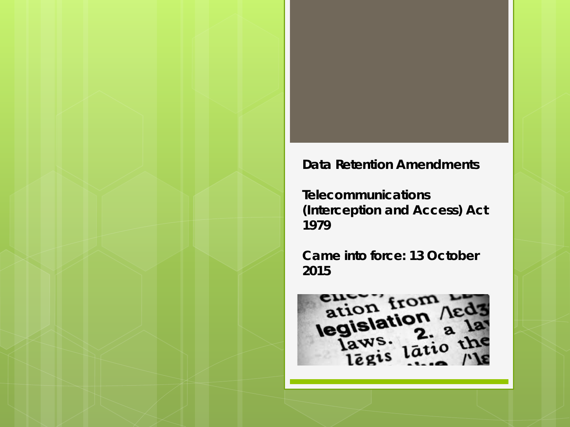#### **Data Retention Amendments**

*Telecommunications (Interception and Access) Act 1979*

**Came into force: 13 October 2015**

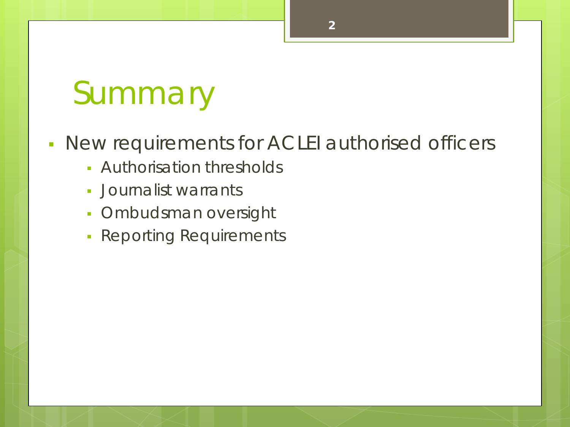## Summary

### New requirements for ACLEI authorised officers

- Authorisation thresholds
- Journalist warrants
- **Ombudsman oversight**
- **Reporting Requirements**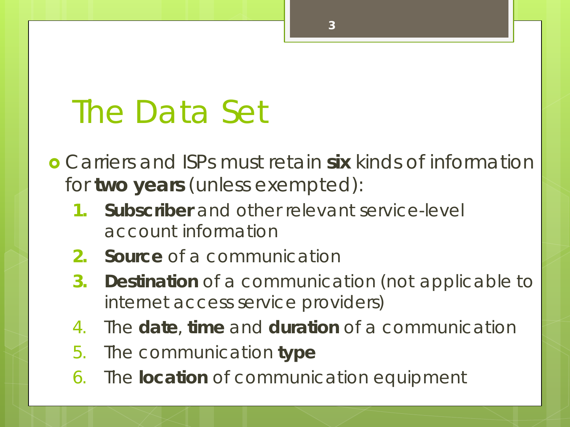### The Data Set

 Carriers and ISPs must retain **six** kinds of information for **two years** (unless exempted):

- **1. Subscriber** and other relevant service-level account information
- **2. Source** of a communication
- **3. Destination** of a communication (not applicable to internet access service providers)
- 4. The **date**, **time** and **duration** of a communication
- 5. The communication **type**
- 6. The **location** of communication equipment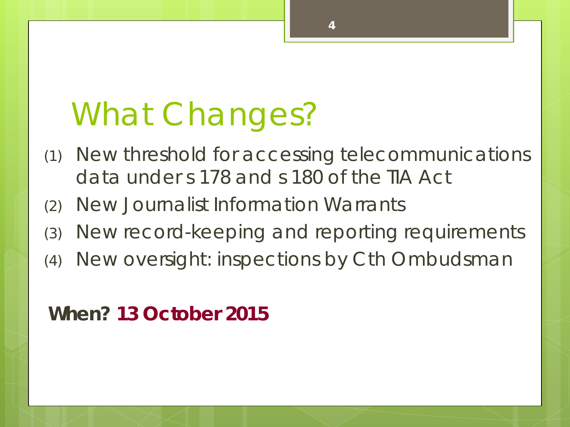# What Changes?

- (1) New threshold for accessing telecommunications data under s 178 and s 180 of the TIA Act
- (2) New Journalist Information Warrants
- (3) New record-keeping and reporting requirements
- (4) New oversight: inspections by Cth Ombudsman

### **When? 13 October 2015**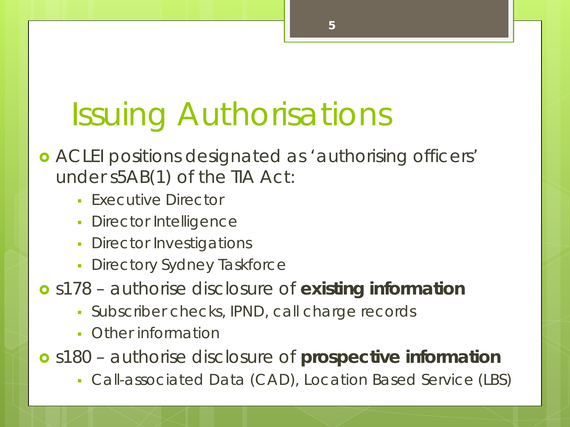# Issuing Authorisations

- ACLEI positions designated as 'authorising officers' under s5AB(1) of the TIA Act:
	- **Executive Director**
	- Director Intelligence
	- Director Investigations
	- **Directory Sydney Taskforce**
- s178 authorise disclosure of **existing information**
	- Subscriber checks, IPND, call charge records
	- Other information
- s180 authorise disclosure of **prospective information**
	- Call-associated Data (CAD), Location Based Service (LBS)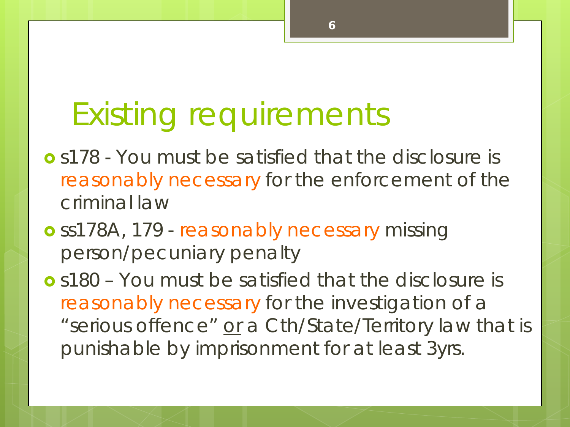### Existing requirements

- s178 You must be satisfied that the disclosure is reasonably necessary for the enforcement of the criminal law
- o ss178A, 179 reasonably necessary missing person/pecuniary penalty

 s180 – You must be satisfied that the disclosure is reasonably necessary for the investigation of a "serious offence" or a Cth/State/Territory law that is punishable by imprisonment for at least 3yrs.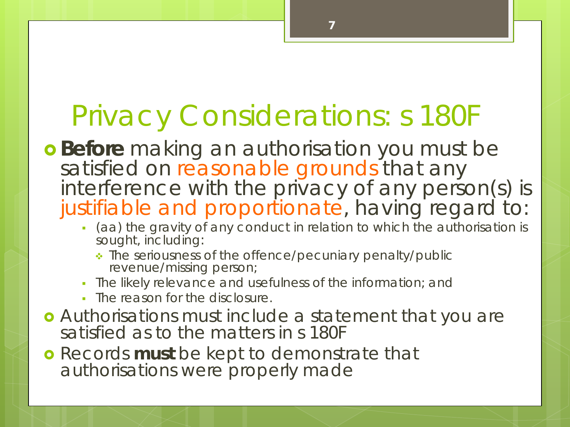### Privacy Considerations: s 180F

- **Before** making an authorisation you must be satisfied on reasonable grounds that any interference with the privacy of any person(s) is justifiable and proportionate, having regard to:
	- (aa) the gravity of any conduct in relation to which the authorisation is sought, including:

- The seriousness of the offence/pecuniary penalty/public revenue/missing person;
- The likely relevance and usefulness of the information; and
- **The reason for the disclosure.**
- Authorisations must include a statement that you are satisfied as to the matters in s 180F
- Records **must** be kept to demonstrate that authorisations were properly made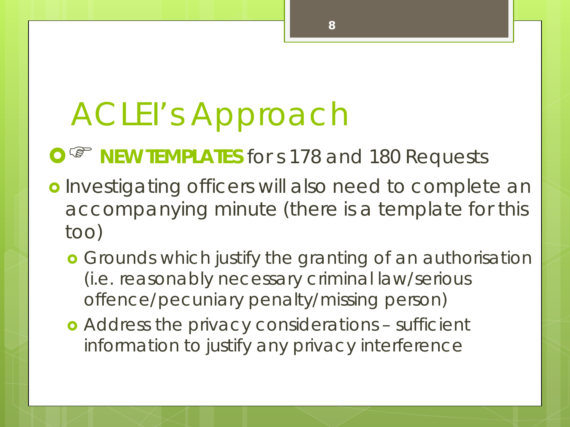# ACLEI's Approach

**O**<sup> $\circ$ </sup> **NEW TEMPLATES** for s 178 and 180 Requests

o Investigating officers will also need to complete an accompanying minute (there is a template for this too)

- **•** Grounds which justify the granting of an authorisation (i.e. reasonably necessary criminal law/serious offence/pecuniary penalty/missing person)
- Address the privacy considerations sufficient information to justify any privacy interference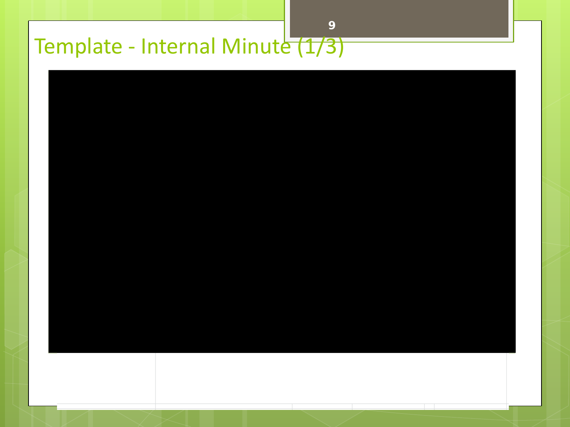### Template - Internal Minute (1/3)

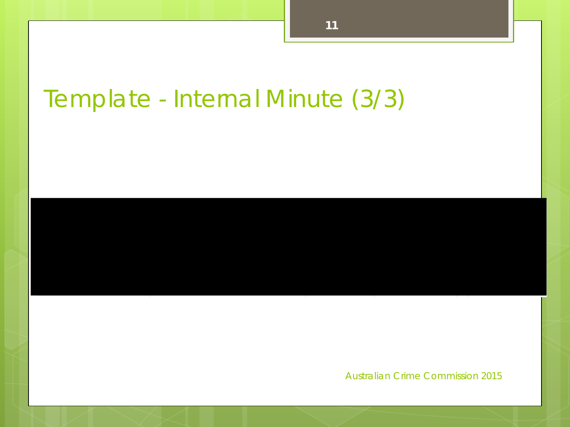### Template - Internal Minute (3/3)

Australian Crime Commission 2015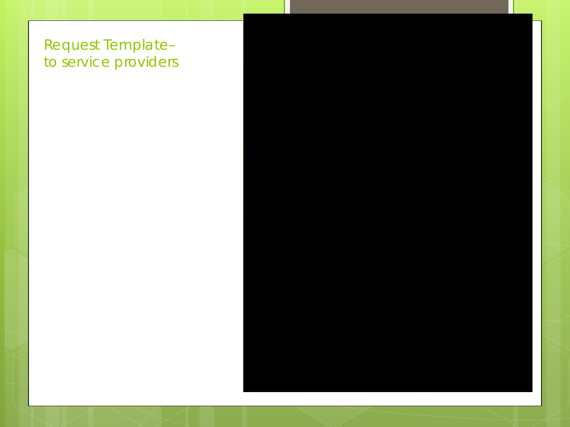#### Request Template– to service providers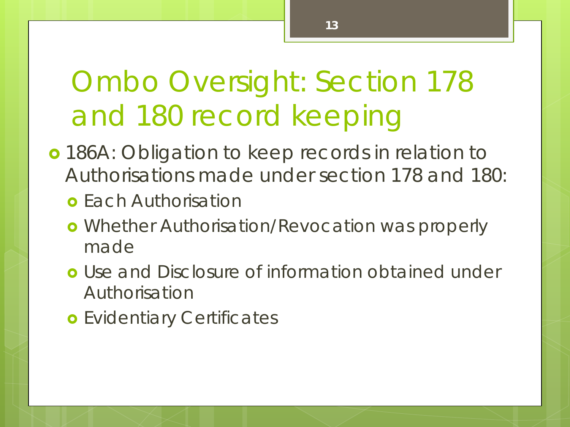### Ombo Oversight: Section 178 and 180 record keeping

- 186A: Obligation to keep records in relation to Authorisations made under section 178 and 180:
	- **o** Each Authorisation
	- o Whether Authorisation/Revocation was properly made
	- **o** Use and Disclosure of information obtained under Authorisation
	- **o** Evidentiary Certificates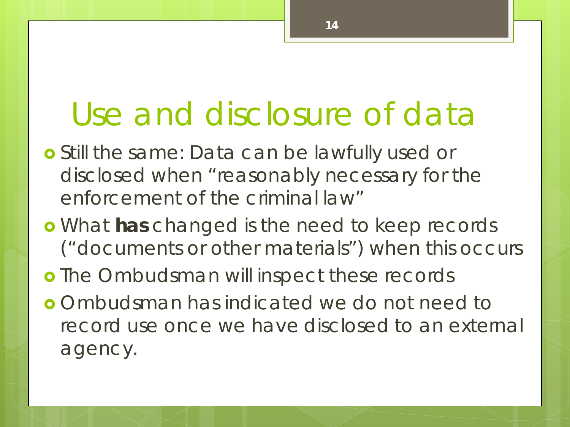### Use and disclosure of data

- Still the same: Data can be lawfully used or disclosed when "reasonably necessary for the enforcement of the criminal law"
- What **has** changed is the need to keep records ("documents or other materials") when this occurs
- **o** The Ombudsman will inspect these records
- Ombudsman has indicated we do not need to record use once we have disclosed to an external agency.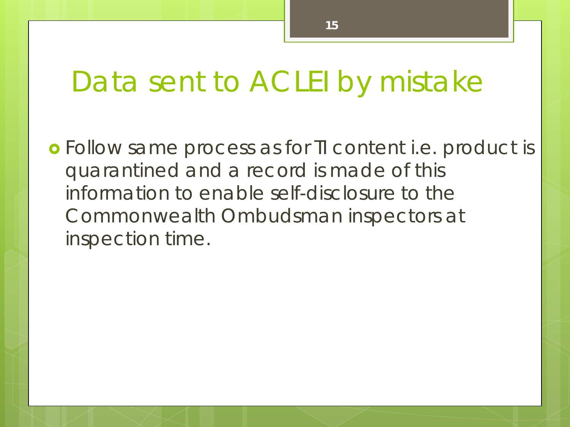### Data sent to ACLEI by mistake

 Follow same process as for TI content i.e. product is quarantined and a record is made of this information to enable self-disclosure to the Commonwealth Ombudsman inspectors at inspection time.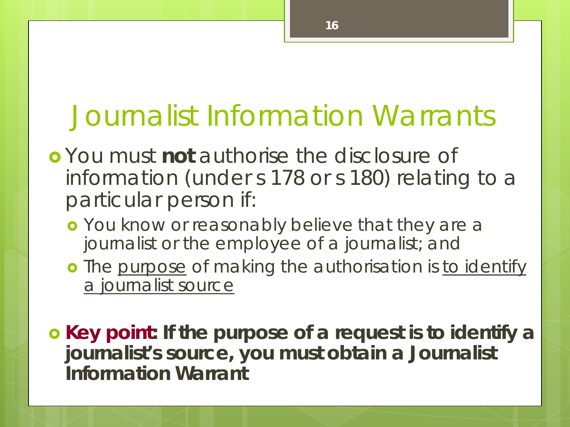### Journalist Information Warrants

- You must **not** authorise the disclosure of information (under s 178 or s 180) relating to a particular person if:
	- o You know or reasonably believe that they are a journalist or the employee of a journalist; and
	- o The purpose of making the authorisation is to identify a journalist source

 **Key point: If the purpose of a request is to identify a journalist's source, you must obtain a Journalist Information Warrant**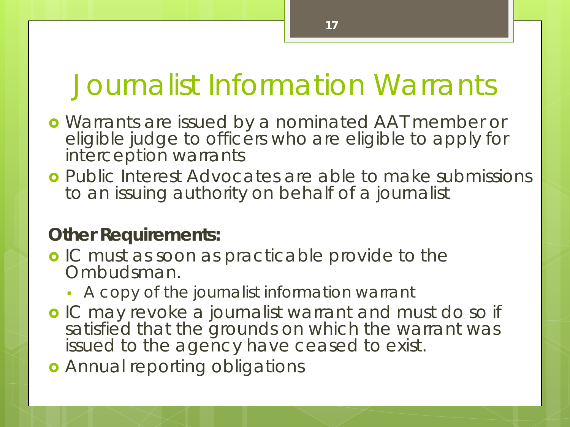### Journalist Information Warrants

- Warrants are issued by a nominated AAT member or eligible judge to officers who are eligible to apply for interception warrants
- Public Interest Advocates are able to make submissions to an issuing authority on behalf of a journalist

#### **Other Requirements:**

- **o** IC must as soon as practicable provide to the Ombudsman.
	- A copy of the journalist information warrant
- **o** IC may revoke a journalist warrant and must do so if satisfied that the grounds on which the warrant was issued to the agency have ceased to exist.
- **o** Annual reporting obligations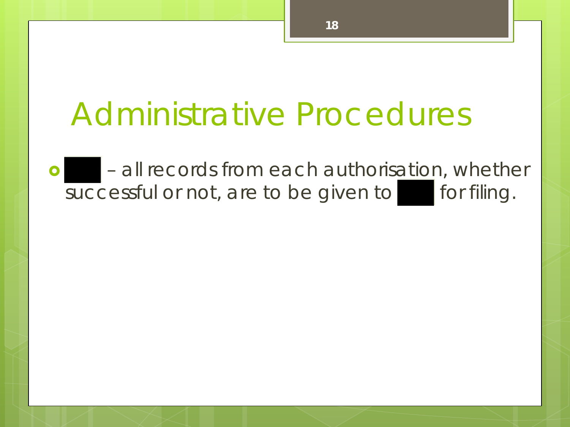### Administrative Procedures

o electrical records from each authorisation, whether successful or not, are to be given to for filing.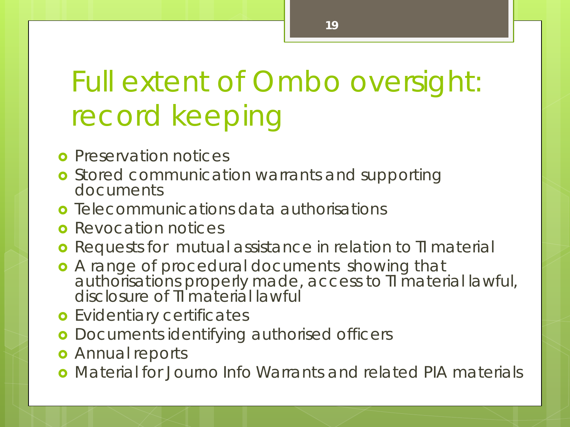### Full extent of Ombo oversight: record keeping

- **o** Preservation notices
- **o** Stored communication warrants and supporting documents
- **o** Telecommunications data authorisations
- **o** Revocation notices
- **o** Requests for mutual assistance in relation to TI material
- **•** A range of procedural documents showing that authorisations properly made, access to TI material lawful, disclosure of **II** material lawful
- **o** Evidentiary certificates
- **o** Documents identifying authorised officers
- **o** Annual reports
- Material for Journo Info Warrants and related PIA materials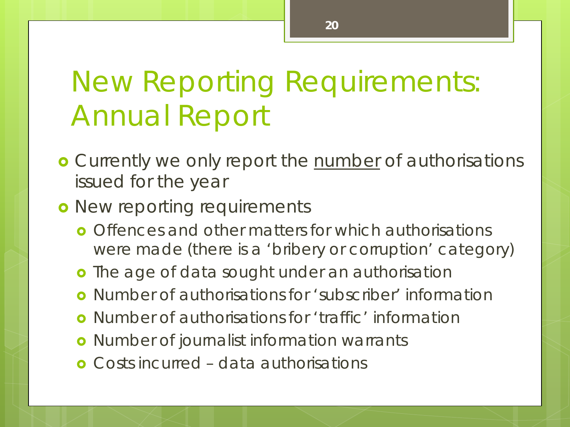### New Reporting Requirements: Annual Report

**o** Currently we only report the number of authorisations issued for the year

#### **o** New reporting requirements

- **o** Offences and other matters for which authorisations were made (there is a 'bribery or corruption' category)
- **o** The age of data sought under an authorisation
- Number of authorisations for 'subscriber' information
- **o** Number of authorisations for 'traffic' information
- **o** Number of journalist information warrants
- Costs incurred data authorisations